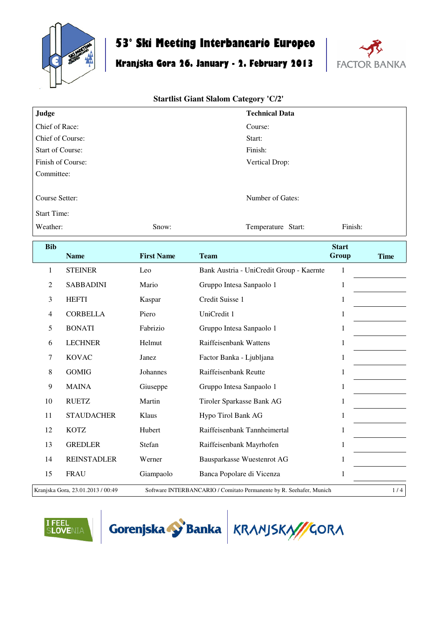

## **53° Ski Meeting Interbancario Europeo**

# **Kranjska Gora 26. January - 2. February 2013**



| Judge                   |                                   |                   | <b>Technical Data</b>                                               |                       |             |  |
|-------------------------|-----------------------------------|-------------------|---------------------------------------------------------------------|-----------------------|-------------|--|
| Chief of Race:          |                                   |                   | Course:                                                             |                       |             |  |
| Chief of Course:        |                                   |                   | Start:                                                              |                       |             |  |
| <b>Start of Course:</b> |                                   |                   | Finish:                                                             |                       |             |  |
|                         | Finish of Course:                 |                   | Vertical Drop:                                                      |                       |             |  |
| Committee:              |                                   |                   |                                                                     |                       |             |  |
| Course Setter:          |                                   |                   | Number of Gates:                                                    |                       |             |  |
| <b>Start Time:</b>      |                                   |                   |                                                                     |                       |             |  |
| Weather:                |                                   | Snow:             | Temperature Start:                                                  | Finish:               |             |  |
| <b>Bib</b>              | <b>Name</b>                       | <b>First Name</b> | <b>Team</b>                                                         | <b>Start</b><br>Group | <b>Time</b> |  |
| $\mathbf{1}$            | <b>STEINER</b>                    | Leo               | Bank Austria - UniCredit Group - Kaernte                            | $\mathbf{1}$          |             |  |
| $\overline{2}$          | <b>SABBADINI</b>                  | Mario             | Gruppo Intesa Sanpaolo 1                                            | $\mathbf{1}$          |             |  |
| 3                       | <b>HEFTI</b>                      | Kaspar            | Credit Suisse 1                                                     | $\mathbf{1}$          |             |  |
| $\overline{4}$          | <b>CORBELLA</b>                   | Piero             | UniCredit 1                                                         | $\mathbf{1}$          |             |  |
| 5                       | <b>BONATI</b>                     | Fabrizio          | Gruppo Intesa Sanpaolo 1                                            | $\mathbf{1}$          |             |  |
| 6                       | <b>LECHNER</b>                    | Helmut            | Raiffeisenbank Wattens                                              | 1                     |             |  |
| 7                       | <b>KOVAC</b>                      | Janez             | Factor Banka - Ljubljana                                            | $\mathbf{1}$          |             |  |
| 8                       | <b>GOMIG</b>                      | Johannes          | Raiffeisenbank Reutte                                               | $\mathbf{1}$          |             |  |
| 9                       | <b>MAINA</b>                      | Giuseppe          | Gruppo Intesa Sanpaolo 1                                            | $\mathbf{1}$          |             |  |
| 10                      | <b>RUETZ</b>                      | Martin            | Tiroler Sparkasse Bank AG                                           | $\mathbf{1}$          |             |  |
| 11                      | <b>STAUDACHER</b>                 | Klaus             | Hypo Tirol Bank AG                                                  | $\mathbf{1}$          |             |  |
| 12                      | <b>KOTZ</b>                       | Hubert            | Raiffeisenbank Tannheimertal                                        | $\mathbf{1}$          |             |  |
| 13                      | <b>GREDLER</b>                    | Stefan            | Raiffeisenbank Mayrhofen                                            | $\mathbf{1}$          |             |  |
| 14                      | <b>REINSTADLER</b>                | Werner            | Bausparkasse Wuestenrot AG                                          | $\mathbf{1}$          |             |  |
| 15                      | <b>FRAU</b>                       | Giampaolo         | Banca Popolare di Vicenza                                           | $\mathbf{1}$          |             |  |
|                         | Kranjska Gora, 23.01.2013 / 00:49 |                   | Software INTERBANCARIO / Comitato Permanente by R. Seehafer, Munich |                       | 1/4         |  |





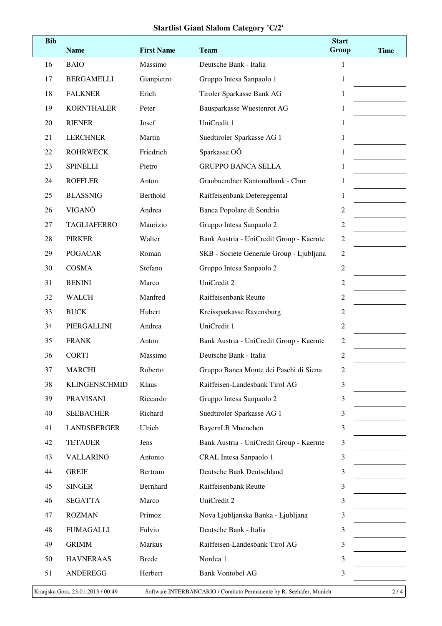| <b>Bib</b> | <b>Name</b>          | <b>First Name</b> | <b>Team</b>                              | <b>Start</b><br>Group | <b>Time</b> |
|------------|----------------------|-------------------|------------------------------------------|-----------------------|-------------|
| 16         | <b>BAIO</b>          | Massimo           | Deutsche Bank - Italia                   | $\mathbf{1}$          |             |
| 17         | <b>BERGAMELLI</b>    | Gianpietro        | Gruppo Intesa Sanpaolo 1                 | 1                     |             |
| 18         | <b>FALKNER</b>       | Erich             | Tiroler Sparkasse Bank AG                | 1                     |             |
| 19         | <b>KORNTHALER</b>    | Peter             | Bausparkasse Wuestenrot AG               | 1                     |             |
| 20         | <b>RIENER</b>        | Josef             | UniCredit 1                              | 1                     |             |
| 21         | <b>LERCHNER</b>      | Martin            | Suedtiroler Sparkasse AG 1               | 1                     |             |
| 22         | <b>ROHRWECK</b>      | Friedrich         | Sparkasse OÖ                             | 1                     |             |
| 23         | <b>SPINELLI</b>      | Pietro            | <b>GRUPPO BANCA SELLA</b>                | 1                     |             |
| 24         | <b>ROFFLER</b>       | Anton             | Graubuendner Kantonalbank - Chur         | 1                     |             |
| 25         | <b>BLASSNIG</b>      | Berthold          | Raiffeisenbank Defereggental             | 1                     |             |
| 26         | VIGANÒ               | Andrea            | Banca Popolare di Sondrio                | 2                     |             |
| 27         | <b>TAGLIAFERRO</b>   | Maurizio          | Gruppo Intesa Sanpaolo 2                 | 2                     |             |
| 28         | <b>PIRKER</b>        | Walter            | Bank Austria - UniCredit Group - Kaernte | $\overline{c}$        |             |
| 29         | <b>POGACAR</b>       | Roman             | SKB - Societe Generale Group - Ljubljana | $\overline{c}$        |             |
| 30         | <b>COSMA</b>         | Stefano           | Gruppo Intesa Sanpaolo 2                 | $\overline{c}$        |             |
| 31         | <b>BENINI</b>        | Marco             | UniCredit 2                              | $\overline{2}$        |             |
| 32         | <b>WALCH</b>         | Manfred           | Raiffeisenbank Reutte                    | 2                     |             |
| 33         | <b>BUCK</b>          | Hubert            | Kreissparkasse Ravensburg                | 2                     |             |
| 34         | PIERGALLINI          | Andrea            | UniCredit 1                              | $\overline{c}$        |             |
| 35         | <b>FRANK</b>         | Anton             | Bank Austria - UniCredit Group - Kaernte | $\overline{c}$        |             |
| 36         | <b>CORTI</b>         | Massimo           | Deutsche Bank - Italia                   | $\overline{c}$        |             |
| 37         | <b>MARCHI</b>        | Roberto           | Gruppo Banca Monte dei Paschi di Siena   | $\overline{c}$        |             |
| 38         | <b>KLINGENSCHMID</b> | Klaus             | Raiffeisen-Landesbank Tirol AG           | 3                     |             |
| 39         | <b>PRAVISANI</b>     | Riccardo          | Gruppo Intesa Sanpaolo 2                 | 3                     |             |
| 40         | <b>SEEBACHER</b>     | Richard           | Suedtiroler Sparkasse AG 1               | 3                     |             |
| 41         | <b>LANDSBERGER</b>   | Ulrich            | <b>BayernLB</b> Muenchen                 | 3                     |             |
| 42         | <b>TETAUER</b>       | Jens              | Bank Austria - UniCredit Group - Kaernte | 3                     |             |
| 43         | <b>VALLARINO</b>     | Antonio           | <b>CRAL</b> Intesa Sanpaolo 1            | 3                     |             |
| 44         | <b>GREIF</b>         | Bertram           | Deutsche Bank Deutschland                | 3                     |             |
| 45         | <b>SINGER</b>        | Bernhard          | Raiffeisenbank Reutte                    | 3                     |             |
| 46         | <b>SEGATTA</b>       | Marco             | UniCredit 2                              | 3                     |             |
| 47         | <b>ROZMAN</b>        | Primoz            | Nova Ljubljanska Banka - Ljubljana       | 3                     |             |
| 48         | <b>FUMAGALLI</b>     | Fulvio            | Deutsche Bank - Italia                   | 3                     |             |
| 49         | <b>GRIMM</b>         | Markus            | Raiffeisen-Landesbank Tirol AG           | 3                     |             |
| 50         | <b>HAVNERAAS</b>     | <b>Brede</b>      | Nordea 1                                 | 3                     |             |
| 51         | <b>ANDEREGG</b>      | Herbert           | <b>Bank Vontobel AG</b>                  | 3                     |             |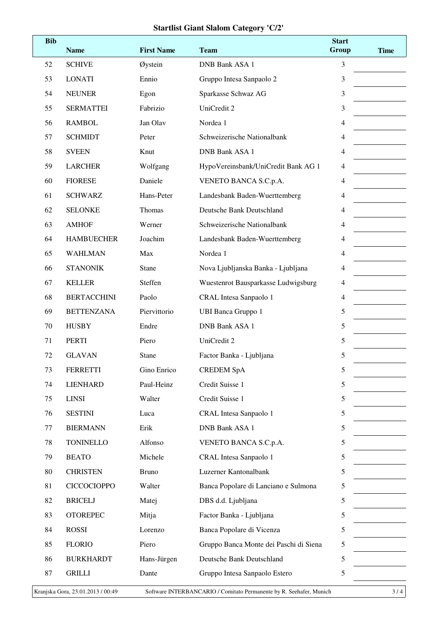| <b>Bib</b> | <b>Name</b>        | <b>First Name</b> | <b>Team</b>                            | <b>Start</b><br>Group | <b>Time</b> |
|------------|--------------------|-------------------|----------------------------------------|-----------------------|-------------|
| 52         | <b>SCHIVE</b>      | Øystein           | <b>DNB Bank ASA 1</b>                  | 3                     |             |
| 53         | <b>LONATI</b>      | Ennio             | Gruppo Intesa Sanpaolo 2               | 3                     |             |
| 54         | <b>NEUNER</b>      | Egon              | Sparkasse Schwaz AG                    | 3                     |             |
| 55         | <b>SERMATTEI</b>   | Fabrizio          | UniCredit 2                            | 3                     |             |
| 56         | <b>RAMBOL</b>      | Jan Olav          | Nordea 1                               | 4                     |             |
| 57         | <b>SCHMIDT</b>     | Peter             | Schweizerische Nationalbank            | 4                     |             |
| 58         | <b>SVEEN</b>       | Knut              | <b>DNB Bank ASA 1</b>                  | 4                     |             |
| 59         | <b>LARCHER</b>     | Wolfgang          | HypoVereinsbank/UniCredit Bank AG 1    | 4                     |             |
| 60         | <b>FIORESE</b>     | Daniele           | VENETO BANCA S.C.p.A.                  | 4                     |             |
| 61         | <b>SCHWARZ</b>     | Hans-Peter        | Landesbank Baden-Wuerttemberg          | 4                     |             |
| 62         | <b>SELONKE</b>     | Thomas            | Deutsche Bank Deutschland              | 4                     |             |
| 63         | <b>AMHOF</b>       | Werner            | Schweizerische Nationalbank            | 4                     |             |
| 64         | <b>HAMBUECHER</b>  | Joachim           | Landesbank Baden-Wuerttemberg          | 4                     |             |
| 65         | <b>WAHLMAN</b>     | Max               | Nordea 1                               | 4                     |             |
| 66         | <b>STANONIK</b>    | Stane             | Nova Ljubljanska Banka - Ljubljana     | 4                     |             |
| 67         | <b>KELLER</b>      | Steffen           | Wuestenrot Bausparkasse Ludwigsburg    | 4                     |             |
| 68         | <b>BERTACCHINI</b> | Paolo             | CRAL Intesa Sanpaolo 1                 | 4                     |             |
| 69         | <b>BETTENZANA</b>  | Piervittorio      | <b>UBI Banca Gruppo 1</b>              | 5                     |             |
| 70         | <b>HUSBY</b>       | Endre             | <b>DNB Bank ASA 1</b>                  | 5                     |             |
| 71         | <b>PERTI</b>       | Piero             | UniCredit 2                            | 5                     |             |
| 72         | <b>GLAVAN</b>      | <b>Stane</b>      | Factor Banka - Ljubljana               | 5                     |             |
| 73         | <b>FERRETTI</b>    | Gino Enrico       | <b>CREDEM SpA</b>                      | 5                     |             |
| 74         | <b>LIENHARD</b>    | Paul-Heinz        | Credit Suisse 1                        | 5                     |             |
| 75         | <b>LINSI</b>       | Walter            | Credit Suisse 1                        | 5                     |             |
| 76         | <b>SESTINI</b>     | Luca              | CRAL Intesa Sanpaolo 1                 | 5                     |             |
| 77         | <b>BIERMANN</b>    | Erik              | <b>DNB Bank ASA 1</b>                  | 5                     |             |
| 78         | <b>TONINELLO</b>   | Alfonso           | VENETO BANCA S.C.p.A.                  | 5                     |             |
| 79         | <b>BEATO</b>       | Michele           | CRAL Intesa Sanpaolo 1                 | 5                     |             |
| 80         | <b>CHRISTEN</b>    | <b>Bruno</b>      | Luzerner Kantonalbank                  | 5                     |             |
| 81         | <b>CICCOCIOPPO</b> | Walter            | Banca Popolare di Lanciano e Sulmona   | 5                     |             |
| 82         | <b>BRICELJ</b>     | Matej             | DBS d.d. Ljubljana                     | 5                     |             |
| 83         | <b>OTOREPEC</b>    | Mitja             | Factor Banka - Ljubljana               | 5                     |             |
| 84         | <b>ROSSI</b>       | Lorenzo           | Banca Popolare di Vicenza              | 5                     |             |
| 85         | <b>FLORIO</b>      | Piero             | Gruppo Banca Monte dei Paschi di Siena | 5                     |             |
| 86         | <b>BURKHARDT</b>   | Hans-Jürgen       | Deutsche Bank Deutschland              | 5                     |             |
| 87         | <b>GRILLI</b>      | Dante             | Gruppo Intesa Sanpaolo Estero          | 5                     |             |